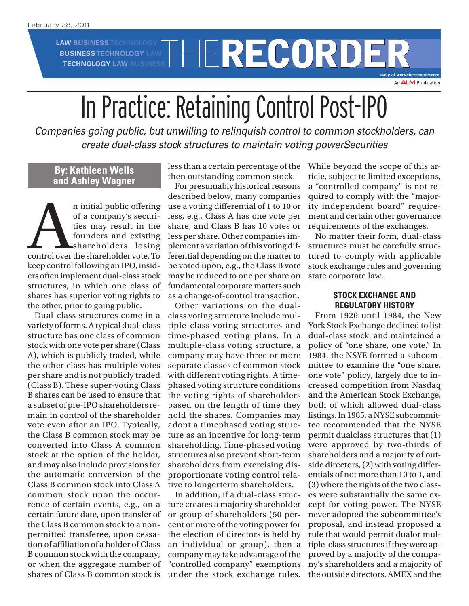**LAW BUSINESS TECHNOLOGY BUSINESS TECHNOLOGY LAW** W BUSINESS TECHNOLOGY **THE RECORDER** 

then outstanding common stock.

n initial public offering<br>
of a company's securi-<br>
ties may result in the<br>
founders and existing<br>
shareholders losing<br>
control over the shareholder vote. To of a company's securities may result in the founders and existing shareholders losing keep control following an IPO, insiders often implement dual-class stock structures, in which one class of shares has superior voting rights to the other, prior to going public.

**By: Kathleen Wells and Ashley Wagner**

Dual-class structures come in a variety of forms. A typical dual-class structure has one class of common stock with one vote per share (Class A), which is publicly traded, while the other class has multiple votes per share and is not publicly traded (Class B). These super-voting Class B shares can be used to ensure that a subset of pre-IPO shareholders remain in control of the shareholder vote even after an IPO. Typically, the Class B common stock may be converted into Class A common stock at the option of the holder, and may also include provisions for the automatic conversion of the Class B common stock into Class A common stock upon the occurrence of certain events, e.g., on a certain future date, upon transfer of the Class B common stock to a nonpermitted transferee, upon cessation of affiliation of a holder of Class B common stock with the company, or when the aggregate number of shares of Class B common stock is

For presumably historical reasons described below, many companies use a voting differential of 1 to 10 or less, e.g., Class A has one vote per share, and Class B has 10 votes or less per share. Other companies implement a variation of this voting differential depending on the matter to be voted upon, e.g., the Class B vote may be reduced to one per share on fundamental corporate matters such as a change-of-control transaction.

Other variations on the dualclass voting structure include multiple-class voting structures and time-phased voting plans. In a multiple-class voting structure, a company may have three or more separate classes of common stock with different voting rights. A timephased voting structure conditions the voting rights of shareholders based on the length of time they hold the shares. Companies may adopt a timephased voting structure as an incentive for long-term shareholding. Time-phased voting structures also prevent short-term shareholders from exercising disproportionate voting control relative to longerterm shareholders.

In addition, if a dual-class structure creates a majority shareholder or group of shareholders (50 percent or more of the voting power for the election of directors is held by an individual or group), then a company may take advantage of the "controlled company" exemptions under the stock exchange rules. While beyond the scope of this article, subject to limited exceptions, a "controlled company" is not required to comply with the "majority independent board" requirement and certain other governance requirements of the exchanges.

No matter their form, dual-class structures must be carefully structured to comply with applicable stock exchange rules and governing state corporate law.

## **STOCK EXCHANGE AND REGULATORY HISTORY**

From 1926 until 1984, the New York Stock Exchange declined to list dual-class stock, and maintained a policy of "one share, one vote." In 1984, the NSYE formed a subcommittee to examine the "one share, one vote" policy, largely due to increased competition from Nasdaq and the American Stock Exchange, both of which allowed dual-class listings. In 1985, a NYSE subcommittee recommended that the NYSE permit dualclass structures that (1) were approved by two-thirds of shareholders and a majority of outside directors, (2) with voting differentials of not more than 10 to 1, and (3) where the rights of the two classes were substantially the same except for voting power. The NYSE never adopted the subcommittee's proposal, and instead proposed a rule that would permit dualor multiple-class structures if they were approved by a majority of the company's shareholders and a majority of the outside directors. AMEX and the

## less than a certain percentage of the

In Practice: Retaining Control Post-IPO

*Companies going public, but unwilling to relinquish control to common stockholders, can create dual-class stock structures to maintain voting powerSecurities*

**daily at www.therecorder.com** An **ALM** Publication